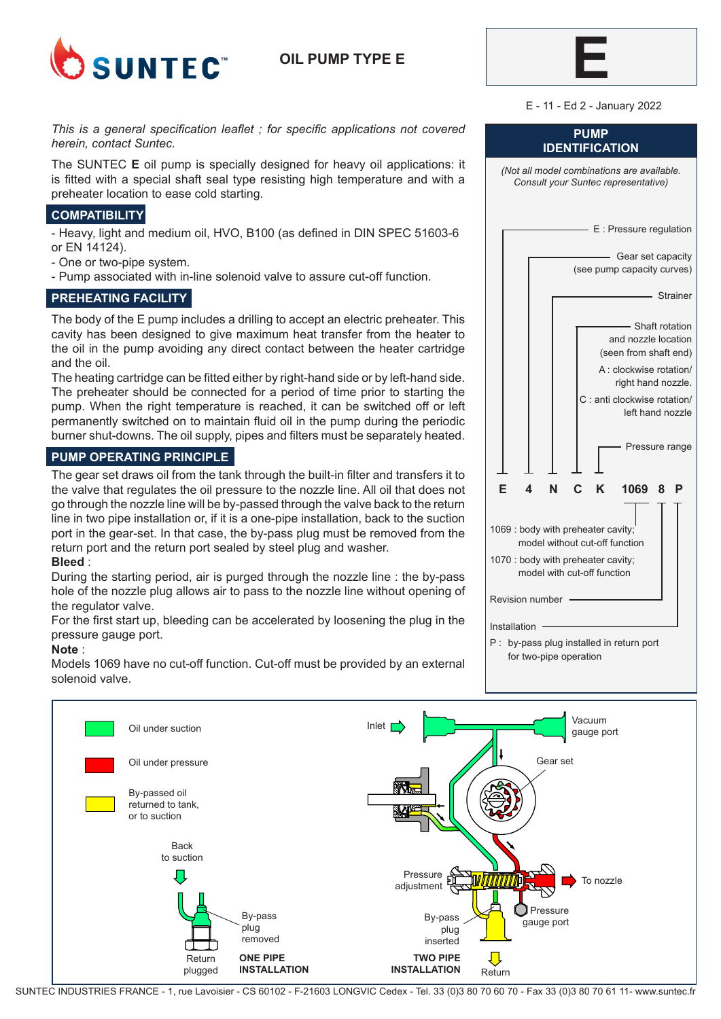

# **OIL PUMP TYPE E**



E - 11 - Ed 2 - January 2022

### *This is a general specification leaflet ; for specific applications not covered herein, contact Suntec.*

The SUNTEC **E** oil pump is specially designed for heavy oil applications: it is fitted with a special shaft seal type resisting high temperature and with a preheater location to ease cold starting.

# **COMPATIBILITY**

- Heavy, light and medium oil, HVO, B100 (as defined in DIN SPEC 51603-6 or EN 14124).

- One or two-pipe system.
- Pump associated with in-line solenoid valve to assure cut-off function.

## **PREHEATING FACILITY**

The body of the E pump includes a drilling to accept an electric preheater. This cavity has been designed to give maximum heat transfer from the heater to the oil in the pump avoiding any direct contact between the heater cartridge and the oil.

The heating cartridge can be fitted either by right-hand side or by left-hand side. The preheater should be connected for a period of time prior to starting the pump. When the right temperature is reached, it can be switched off or left permanently switched on to maintain fluid oil in the pump during the periodic burner shut-downs. The oil supply, pipes and filters must be separately heated.

## **PUMP OPERATING PRINCIPLE**

The gear set draws oil from the tank through the built-in filter and transfers it to the valve that regulates the oil pressure to the nozzle line. All oil that does not go through the nozzle line will be by-passed through the valve back to the return line in two pipe installation or, if it is a one-pipe installation, back to the suction port in the gear-set. In that case, the by-pass plug must be removed from the return port and the return port sealed by steel plug and washer. **Bleed** :

During the starting period, air is purged through the nozzle line : the by-pass hole of the nozzle plug allows air to pass to the nozzle line without opening of the regulator valve.

For the first start up, bleeding can be accelerated by loosening the plug in the pressure gauge port.

## **Note** :

Models 1069 have no cut-off function. Cut-off must be provided by an external solenoid valve.

| <b>PUMP</b><br><b>IDENTIFICATION</b>                                                                                                                                                    |
|-----------------------------------------------------------------------------------------------------------------------------------------------------------------------------------------|
| (Not all model combinations are available.<br>Consult your Suntec representative)                                                                                                       |
| - E : Pressure regulation                                                                                                                                                               |
| - Gear set capacity<br>(see pump capacity curves)                                                                                                                                       |
| Strainer                                                                                                                                                                                |
| - Shaft rotation<br>and nozzle location<br>(seen from shaft end)<br>A : clockwise rotation/<br>right hand nozzle.<br>C : anti clockwise rotation/<br>left hand nozzle<br>Pressure range |
| C<br>Е<br>N<br>K<br>1069<br>4<br>8<br>Р                                                                                                                                                 |
| 1069 : body with preheater cavity;<br>model without cut-off function<br>1070 : body with preheater cavity;<br>model with cut-off function                                               |
| <b>Revision number</b>                                                                                                                                                                  |
| Installation                                                                                                                                                                            |
| P:<br>by-pass plug installed in return port<br>for two-pipe operation                                                                                                                   |



SUNTEC INDUSTRIES FRANCE - 1, rue Lavoisier - CS 60102 - F-21603 LONGVIC Cedex - Tel. 33 (0)3 80 70 60 70 - Fax 33 (0)3 80 70 61 11- www.suntec.fr